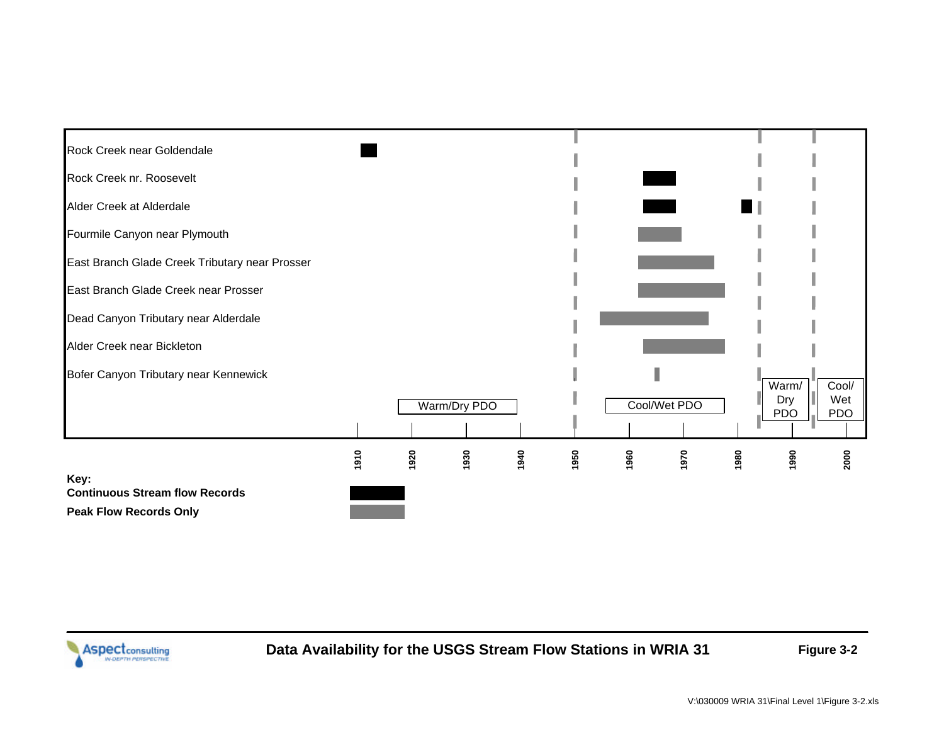

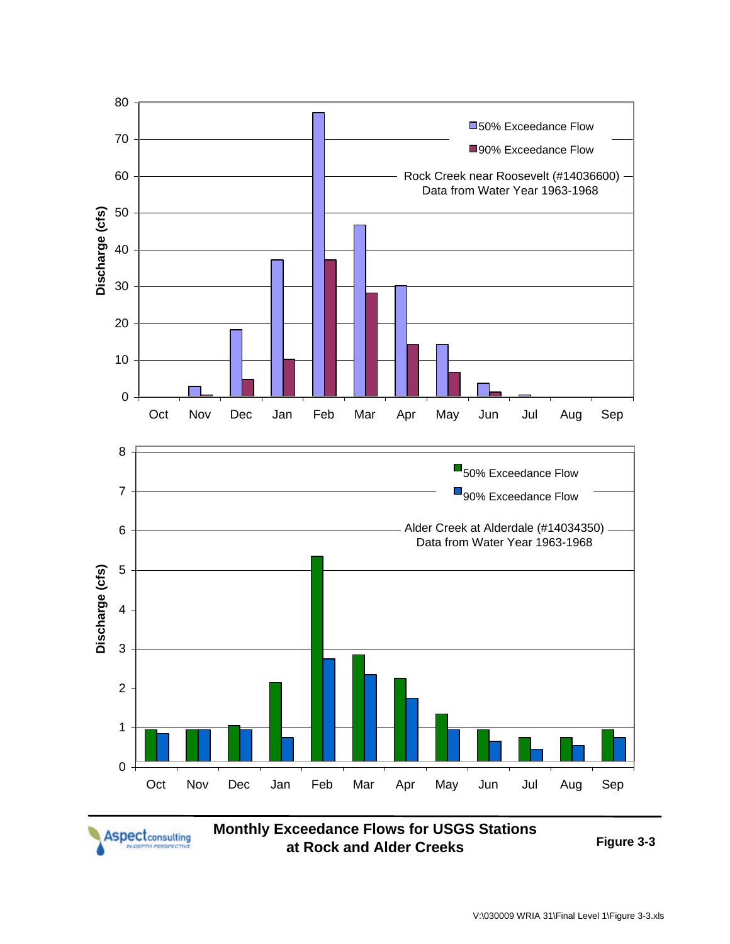

**Aspect**<sub>consulting</sub>

**Monthly Exceedance Flows for USGS Stations at Rock and Alder Creeks Figure 3-3**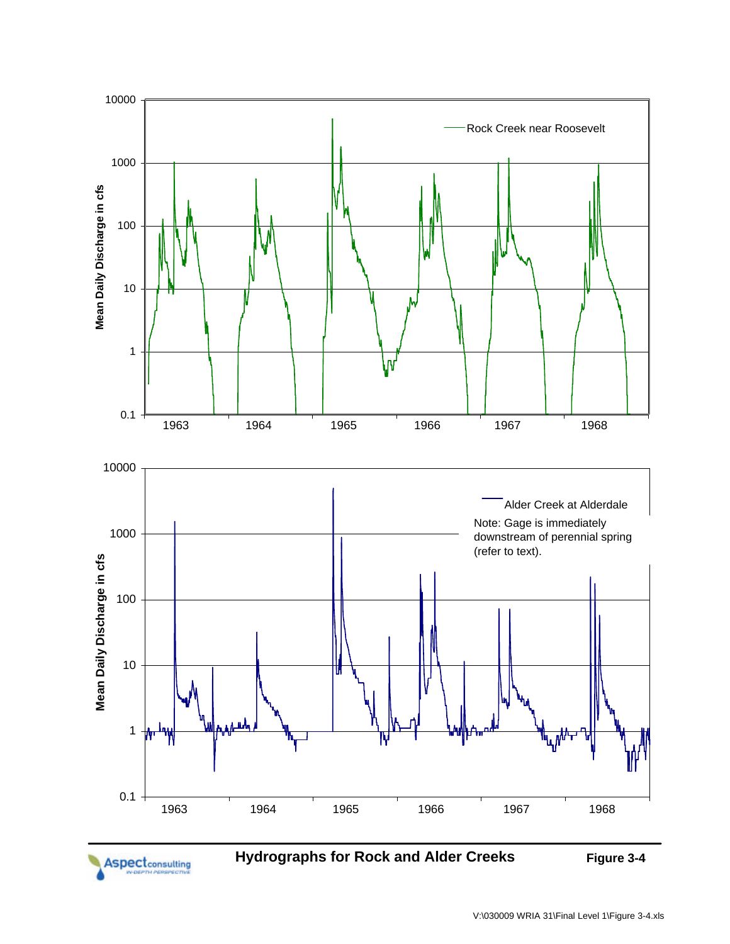

**Aspect**<sub>consulting</sub>

**Hydrographs for Rock and Alder Creeks** Figure 3-4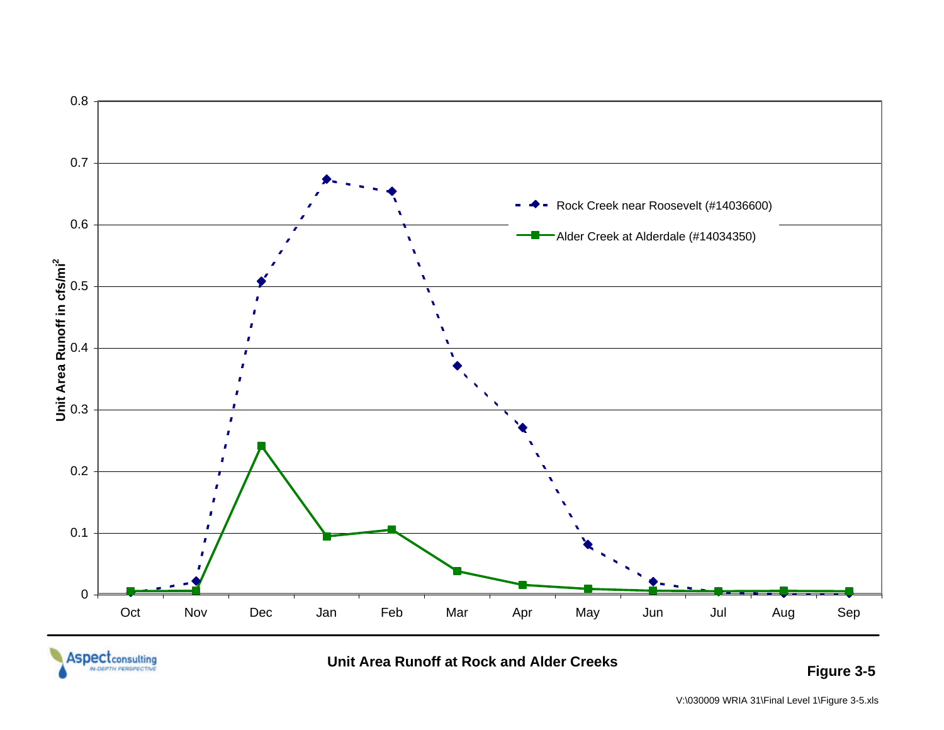

**Unit Area Runoff at Rock and Alder Creeks** 

**Figure 3-5**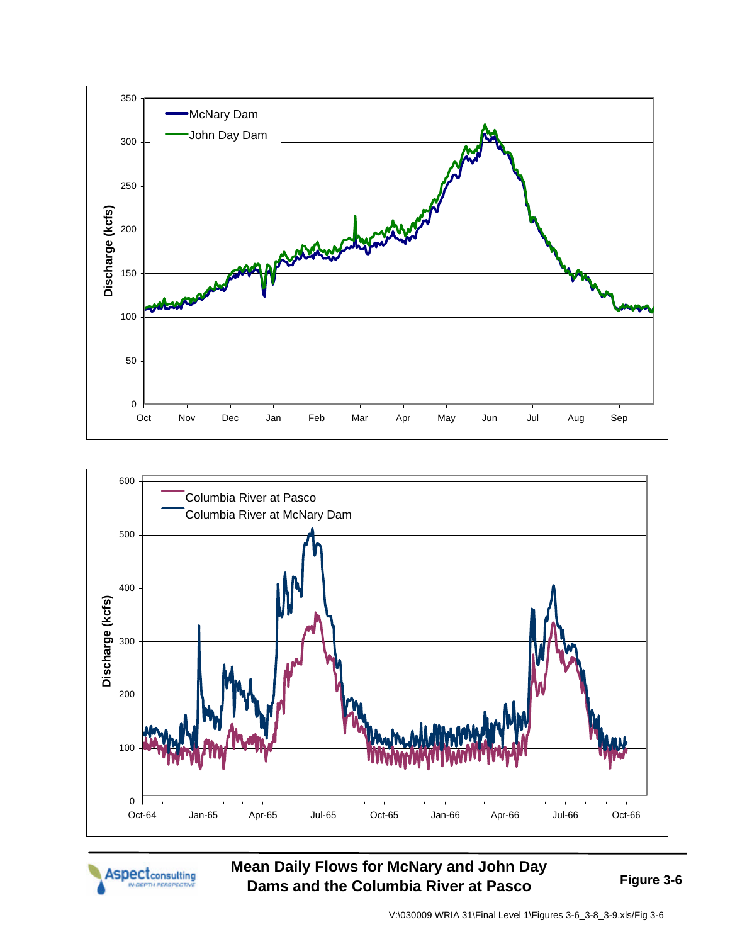



Aspectconsulting

**Mean Daily Flows for McNary and John Day Dams and the Columbia River at Pasco Figure 3-6**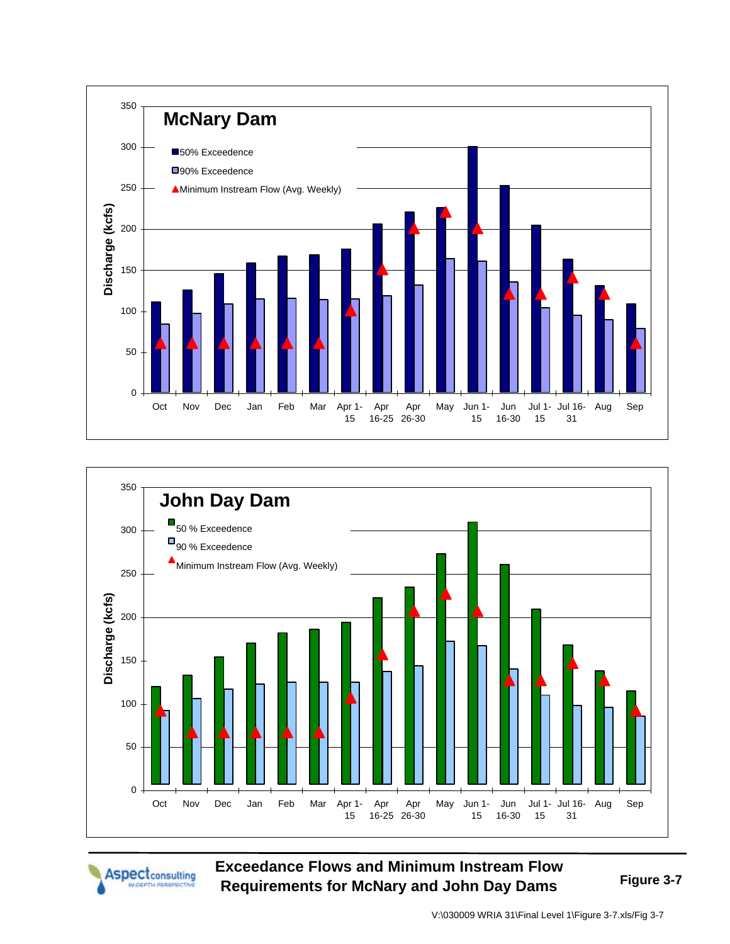



Aspectconsulting

**Exceedance Flows and Minimum Instream Flow Requirements for McNary and John Day Dams Figure 3-7**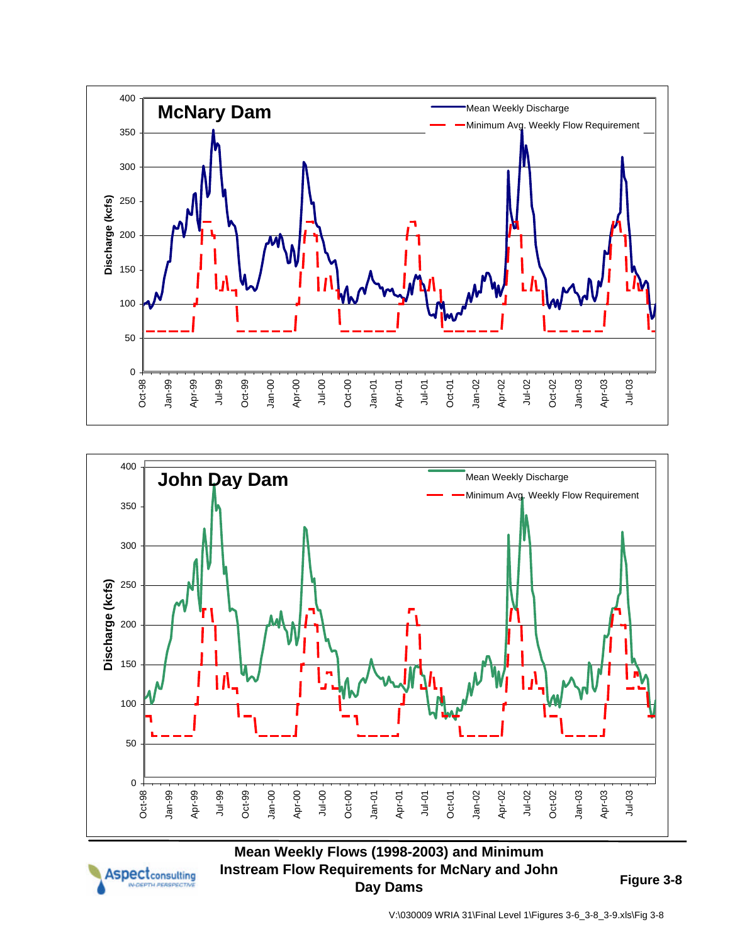





## **Mean Weekly Flows (1998-2003) and Minimum Instream Flow Requirements for McNary and John Day Dams Figure 3-8**